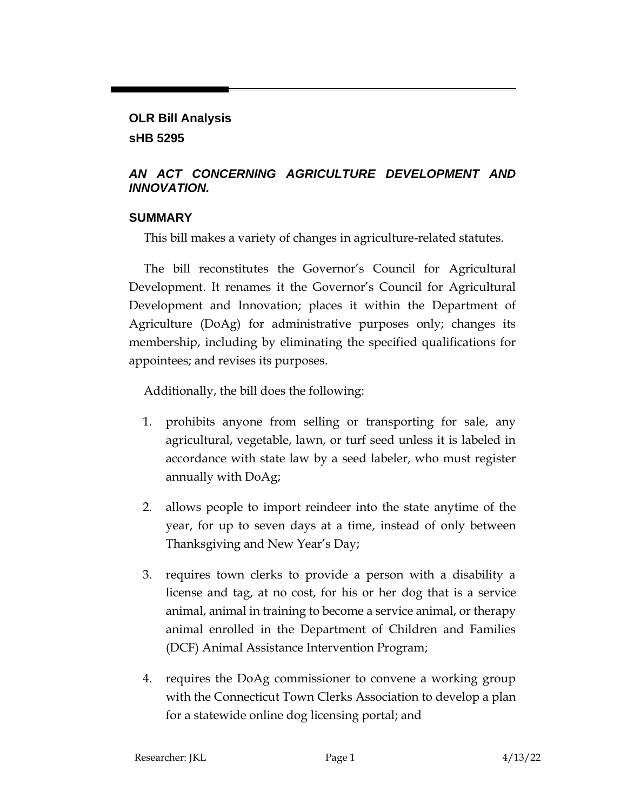# **OLR Bill Analysis sHB 5295**

#### *AN ACT CONCERNING AGRICULTURE DEVELOPMENT AND INNOVATION.*

#### **SUMMARY**

This bill makes a variety of changes in agriculture-related statutes.

The bill reconstitutes the Governor's Council for Agricultural Development. It renames it the Governor's Council for Agricultural Development and Innovation; places it within the Department of Agriculture (DoAg) for administrative purposes only; changes its membership, including by eliminating the specified qualifications for appointees; and revises its purposes.

Additionally, the bill does the following:

- 1. prohibits anyone from selling or transporting for sale, any agricultural, vegetable, lawn, or turf seed unless it is labeled in accordance with state law by a seed labeler, who must register annually with DoAg;
- 2. allows people to import reindeer into the state anytime of the year, for up to seven days at a time, instead of only between Thanksgiving and New Year's Day;
- 3. requires town clerks to provide a person with a disability a license and tag, at no cost, for his or her dog that is a service animal, animal in training to become a service animal, or therapy animal enrolled in the Department of Children and Families (DCF) Animal Assistance Intervention Program;
- 4. requires the DoAg commissioner to convene a working group with the Connecticut Town Clerks Association to develop a plan for a statewide online dog licensing portal; and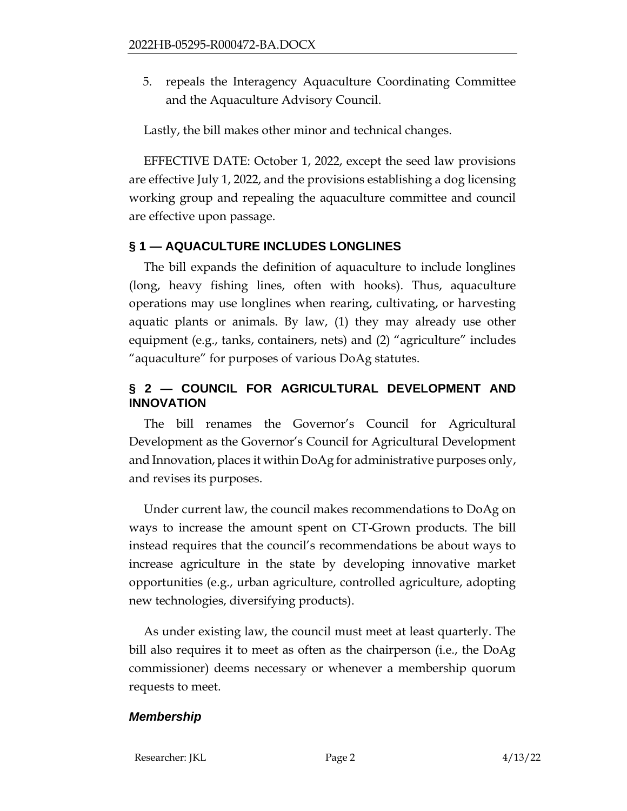5. repeals the Interagency Aquaculture Coordinating Committee and the Aquaculture Advisory Council.

Lastly, the bill makes other minor and technical changes.

EFFECTIVE DATE: October 1, 2022, except the seed law provisions are effective July 1, 2022, and the provisions establishing a dog licensing working group and repealing the aquaculture committee and council are effective upon passage.

#### **§ 1 — AQUACULTURE INCLUDES LONGLINES**

The bill expands the definition of aquaculture to include longlines (long, heavy fishing lines, often with hooks). Thus, aquaculture operations may use longlines when rearing, cultivating, or harvesting aquatic plants or animals. By law, (1) they may already use other equipment (e.g., tanks, containers, nets) and (2) "agriculture" includes "aquaculture" for purposes of various DoAg statutes.

## **§ 2 — COUNCIL FOR AGRICULTURAL DEVELOPMENT AND INNOVATION**

The bill renames the Governor's Council for Agricultural Development as the Governor's Council for Agricultural Development and Innovation, places it within DoAg for administrative purposes only, and revises its purposes.

Under current law, the council makes recommendations to DoAg on ways to increase the amount spent on CT-Grown products. The bill instead requires that the council's recommendations be about ways to increase agriculture in the state by developing innovative market opportunities (e.g., urban agriculture, controlled agriculture, adopting new technologies, diversifying products).

As under existing law, the council must meet at least quarterly. The bill also requires it to meet as often as the chairperson (i.e., the DoAg commissioner) deems necessary or whenever a membership quorum requests to meet.

#### *Membership*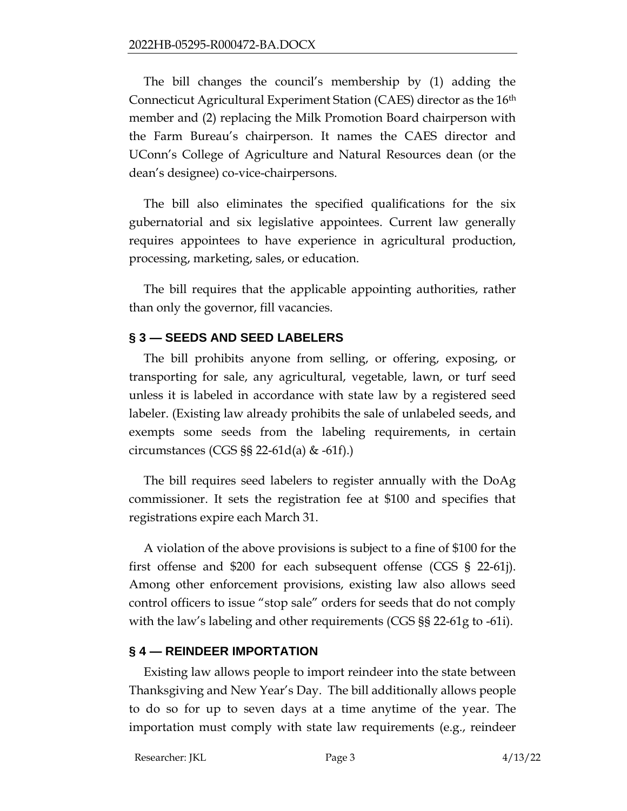The bill changes the council's membership by (1) adding the Connecticut Agricultural Experiment Station (CAES) director as the 16th member and (2) replacing the Milk Promotion Board chairperson with the Farm Bureau's chairperson. It names the CAES director and UConn's College of Agriculture and Natural Resources dean (or the dean's designee) co-vice-chairpersons.

The bill also eliminates the specified qualifications for the six gubernatorial and six legislative appointees. Current law generally requires appointees to have experience in agricultural production, processing, marketing, sales, or education.

The bill requires that the applicable appointing authorities, rather than only the governor, fill vacancies.

## **§ 3 — SEEDS AND SEED LABELERS**

The bill prohibits anyone from selling, or offering, exposing, or transporting for sale, any agricultural, vegetable, lawn, or turf seed unless it is labeled in accordance with state law by a registered seed labeler. (Existing law already prohibits the sale of unlabeled seeds, and exempts some seeds from the labeling requirements, in certain circumstances (CGS §§ 22-61d(a) & -61f).)

The bill requires seed labelers to register annually with the DoAg commissioner. It sets the registration fee at \$100 and specifies that registrations expire each March 31.

A violation of the above provisions is subject to a fine of \$100 for the first offense and \$200 for each subsequent offense (CGS § 22-61j). Among other enforcement provisions, existing law also allows seed control officers to issue "stop sale" orders for seeds that do not comply with the law's labeling and other requirements (CGS §§ 22-61g to -61i).

## **§ 4 — REINDEER IMPORTATION**

Existing law allows people to import reindeer into the state between Thanksgiving and New Year's Day. The bill additionally allows people to do so for up to seven days at a time anytime of the year. The importation must comply with state law requirements (e.g., reindeer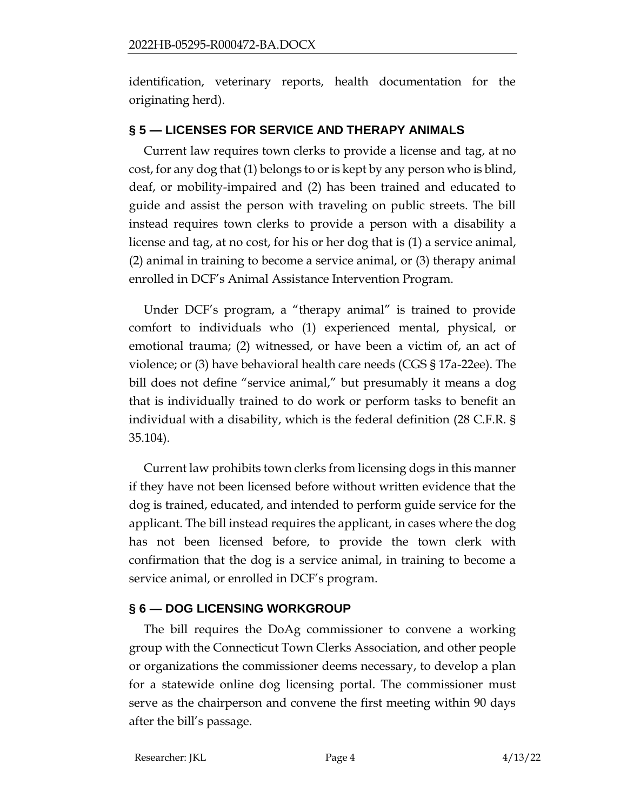identification, veterinary reports, health documentation for the originating herd).

#### **§ 5 — LICENSES FOR SERVICE AND THERAPY ANIMALS**

Current law requires town clerks to provide a license and tag, at no cost, for any dog that (1) belongs to or is kept by any person who is blind, deaf, or mobility-impaired and (2) has been trained and educated to guide and assist the person with traveling on public streets. The bill instead requires town clerks to provide a person with a disability a license and tag, at no cost, for his or her dog that is (1) a service animal, (2) animal in training to become a service animal, or (3) therapy animal enrolled in DCF's Animal Assistance Intervention Program.

Under DCF's program, a "therapy animal" is trained to provide comfort to individuals who (1) experienced mental, physical, or emotional trauma; (2) witnessed, or have been a victim of, an act of violence; or (3) have behavioral health care needs (CGS § 17a-22ee). The bill does not define "service animal," but presumably it means a dog that is individually trained to do work or perform tasks to benefit an individual with a disability, which is the federal definition (28 C.F.R. § 35.104).

Current law prohibits town clerks from licensing dogs in this manner if they have not been licensed before without written evidence that the dog is trained, educated, and intended to perform guide service for the applicant. The bill instead requires the applicant, in cases where the dog has not been licensed before, to provide the town clerk with confirmation that the dog is a service animal, in training to become a service animal, or enrolled in DCF's program.

## **§ 6 — DOG LICENSING WORKGROUP**

The bill requires the DoAg commissioner to convene a working group with the Connecticut Town Clerks Association, and other people or organizations the commissioner deems necessary, to develop a plan for a statewide online dog licensing portal. The commissioner must serve as the chairperson and convene the first meeting within 90 days after the bill's passage.